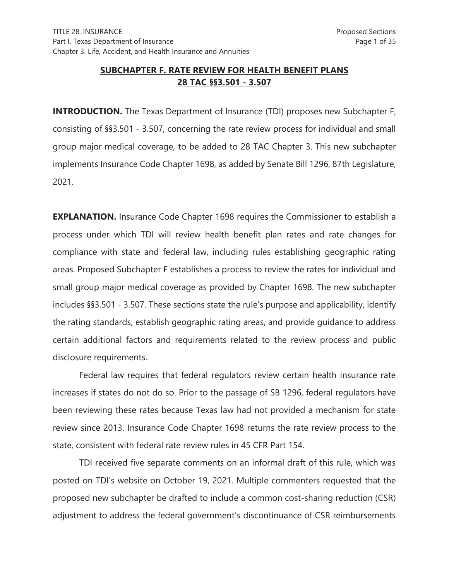# **SUBCHAPTER F. RATE REVIEW FOR HEALTH BENEFIT PLANS 28 TAC §§3.501 - 3.507**

**INTRODUCTION.** The Texas Department of Insurance (TDI) proposes new Subchapter F, consisting of §§3.501 - 3.507, concerning the rate review process for individual and small group major medical coverage, to be added to 28 TAC Chapter 3. This new subchapter implements Insurance Code Chapter 1698, as added by Senate Bill 1296, 87th Legislature, 2021.

**EXPLANATION.** Insurance Code Chapter 1698 requires the Commissioner to establish a process under which TDI will review health benefit plan rates and rate changes for compliance with state and federal law, including rules establishing geographic rating areas. Proposed Subchapter F establishes a process to review the rates for individual and small group major medical coverage as provided by Chapter 1698. The new subchapter includes §§3.501 - 3.507. These sections state the rule's purpose and applicability, identify the rating standards, establish geographic rating areas, and provide guidance to address certain additional factors and requirements related to the review process and public disclosure requirements.

Federal law requires that federal regulators review certain health insurance rate increases if states do not do so. Prior to the passage of SB 1296, federal regulators have been reviewing these rates because Texas law had not provided a mechanism for state review since 2013. Insurance Code Chapter 1698 returns the rate review process to the state, consistent with federal rate review rules in 45 CFR Part 154.

TDI received five separate comments on an informal draft of this rule, which was posted on TDI's website on October 19, 2021. Multiple commenters requested that the proposed new subchapter be drafted to include a common cost-sharing reduction (CSR) adjustment to address the federal government's discontinuance of CSR reimbursements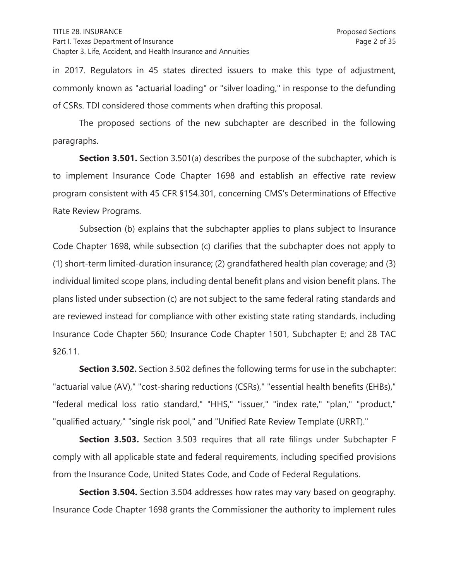in 2017. Regulators in 45 states directed issuers to make this type of adjustment, commonly known as "actuarial loading" or "silver loading," in response to the defunding of CSRs. TDI considered those comments when drafting this proposal.

 The proposed sections of the new subchapter are described in the following paragraphs.

**Section 3.501.** Section 3.501(a) describes the purpose of the subchapter, which is to implement Insurance Code Chapter 1698 and establish an effective rate review program consistent with 45 CFR §154.301, concerning CMS's Determinations of Effective Rate Review Programs.

 Subsection (b) explains that the subchapter applies to plans subject to Insurance Code Chapter 1698, while subsection (c) clarifies that the subchapter does not apply to (1) short-term limited-duration insurance; (2) grandfathered health plan coverage; and (3) individual limited scope plans, including dental benefit plans and vision benefit plans. The plans listed under subsection (c) are not subject to the same federal rating standards and are reviewed instead for compliance with other existing state rating standards, including Insurance Code Chapter 560; Insurance Code Chapter 1501, Subchapter E; and 28 TAC §26.11.

**Section 3.502.** Section 3.502 defines the following terms for use in the subchapter: "actuarial value (AV)," "cost-sharing reductions (CSRs)," "essential health benefits (EHBs)," "federal medical loss ratio standard," "HHS," "issuer," "index rate," "plan," "product," "qualified actuary," "single risk pool," and "Unified Rate Review Template (URRT)."

 **Section 3.503.** Section 3.503 requires that all rate filings under Subchapter F comply with all applicable state and federal requirements, including specified provisions from the Insurance Code, United States Code, and Code of Federal Regulations.

**Section 3.504.** Section 3.504 addresses how rates may vary based on geography. Insurance Code Chapter 1698 grants the Commissioner the authority to implement rules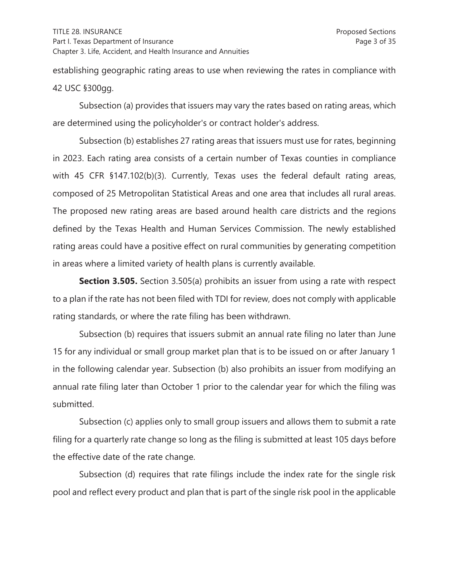establishing geographic rating areas to use when reviewing the rates in compliance with 42 USC §300gg.

 Subsection (a) provides that issuers may vary the rates based on rating areas, which are determined using the policyholder's or contract holder's address.

 Subsection (b) establishes 27 rating areas that issuers must use for rates, beginning in 2023. Each rating area consists of a certain number of Texas counties in compliance with 45 CFR §147.102(b)(3). Currently, Texas uses the federal default rating areas, composed of 25 Metropolitan Statistical Areas and one area that includes all rural areas. The proposed new rating areas are based around health care districts and the regions defined by the Texas Health and Human Services Commission. The newly established rating areas could have a positive effect on rural communities by generating competition in areas where a limited variety of health plans is currently available.

 **Section 3.505.** Section 3.505(a) prohibits an issuer from using a rate with respect to a plan if the rate has not been filed with TDI for review, does not comply with applicable rating standards, or where the rate filing has been withdrawn.

 Subsection (b) requires that issuers submit an annual rate filing no later than June 15 for any individual or small group market plan that is to be issued on or after January 1 in the following calendar year. Subsection (b) also prohibits an issuer from modifying an annual rate filing later than October 1 prior to the calendar year for which the filing was submitted.

 Subsection (c) applies only to small group issuers and allows them to submit a rate filing for a quarterly rate change so long as the filing is submitted at least 105 days before the effective date of the rate change.

 Subsection (d) requires that rate filings include the index rate for the single risk pool and reflect every product and plan that is part of the single risk pool in the applicable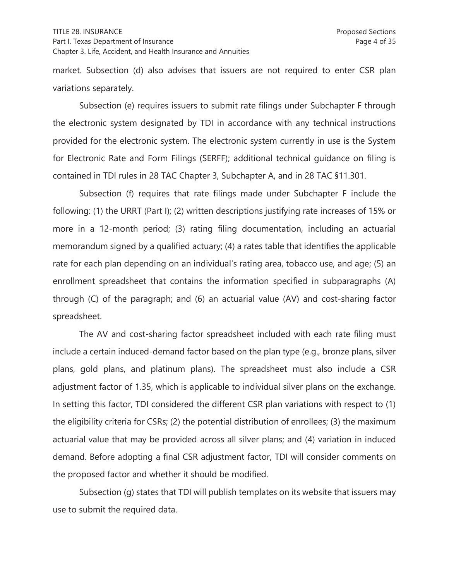#### TITLE 28. INSURANCE Proposed Sections

#### Part I. Texas Department of Insurance **Page 4 of 35** Page 4 of 35 Chapter 3. Life, Accident, and Health Insurance and Annuities

market. Subsection (d) also advises that issuers are not required to enter CSR plan variations separately.

 Subsection (e) requires issuers to submit rate filings under Subchapter F through the electronic system designated by TDI in accordance with any technical instructions provided for the electronic system. The electronic system currently in use is the System for Electronic Rate and Form Filings (SERFF); additional technical guidance on filing is contained in TDI rules in 28 TAC Chapter 3, Subchapter A, and in 28 TAC §11.301.

 Subsection (f) requires that rate filings made under Subchapter F include the following: (1) the URRT (Part I); (2) written descriptions justifying rate increases of 15% or more in a 12-month period; (3) rating filing documentation, including an actuarial memorandum signed by a qualified actuary; (4) a rates table that identifies the applicable rate for each plan depending on an individual's rating area, tobacco use, and age; (5) an enrollment spreadsheet that contains the information specified in subparagraphs (A) through (C) of the paragraph; and (6) an actuarial value (AV) and cost-sharing factor spreadsheet.

 The AV and cost-sharing factor spreadsheet included with each rate filing must include a certain induced-demand factor based on the plan type (e.g., bronze plans, silver plans, gold plans, and platinum plans). The spreadsheet must also include a CSR adjustment factor of 1.35, which is applicable to individual silver plans on the exchange. In setting this factor, TDI considered the different CSR plan variations with respect to (1) the eligibility criteria for CSRs; (2) the potential distribution of enrollees; (3) the maximum actuarial value that may be provided across all silver plans; and (4) variation in induced demand. Before adopting a final CSR adjustment factor, TDI will consider comments on the proposed factor and whether it should be modified.

 Subsection (g) states that TDI will publish templates on its website that issuers may use to submit the required data.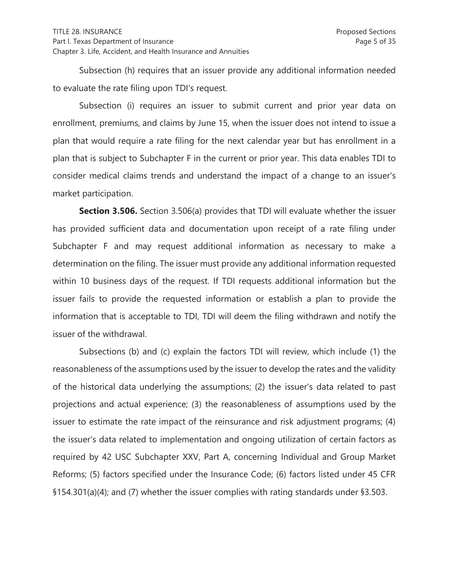Subsection (h) requires that an issuer provide any additional information needed to evaluate the rate filing upon TDI's request.

 Subsection (i) requires an issuer to submit current and prior year data on enrollment, premiums, and claims by June 15, when the issuer does not intend to issue a plan that would require a rate filing for the next calendar year but has enrollment in a plan that is subject to Subchapter F in the current or prior year. This data enables TDI to consider medical claims trends and understand the impact of a change to an issuer's market participation.

**Section 3.506.** Section 3.506(a) provides that TDI will evaluate whether the issuer has provided sufficient data and documentation upon receipt of a rate filing under Subchapter F and may request additional information as necessary to make a determination on the filing. The issuer must provide any additional information requested within 10 business days of the request. If TDI requests additional information but the issuer fails to provide the requested information or establish a plan to provide the information that is acceptable to TDI, TDI will deem the filing withdrawn and notify the issuer of the withdrawal.

 Subsections (b) and (c) explain the factors TDI will review, which include (1) the reasonableness of the assumptions used by the issuer to develop the rates and the validity of the historical data underlying the assumptions; (2) the issuer's data related to past projections and actual experience; (3) the reasonableness of assumptions used by the issuer to estimate the rate impact of the reinsurance and risk adjustment programs; (4) the issuer's data related to implementation and ongoing utilization of certain factors as required by 42 USC Subchapter XXV, Part A, concerning Individual and Group Market Reforms; (5) factors specified under the Insurance Code; (6) factors listed under 45 CFR §154.301(a)(4); and (7) whether the issuer complies with rating standards under §3.503.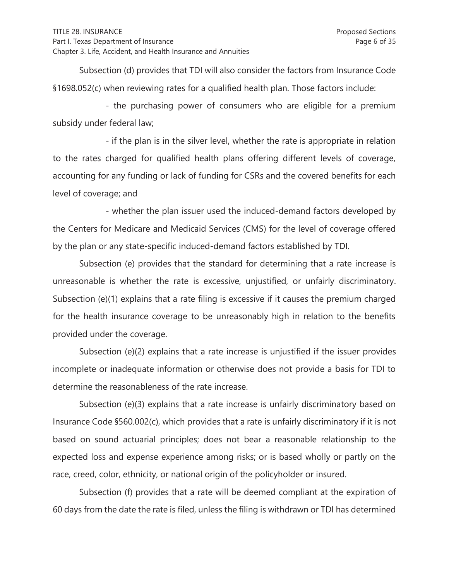Subsection (d) provides that TDI will also consider the factors from Insurance Code §1698.052(c) when reviewing rates for a qualified health plan. Those factors include:

 - the purchasing power of consumers who are eligible for a premium subsidy under federal law;

 - if the plan is in the silver level, whether the rate is appropriate in relation to the rates charged for qualified health plans offering different levels of coverage, accounting for any funding or lack of funding for CSRs and the covered benefits for each level of coverage; and

 - whether the plan issuer used the induced-demand factors developed by the Centers for Medicare and Medicaid Services (CMS) for the level of coverage offered by the plan or any state-specific induced-demand factors established by TDI.

 Subsection (e) provides that the standard for determining that a rate increase is unreasonable is whether the rate is excessive, unjustified, or unfairly discriminatory. Subsection (e)(1) explains that a rate filing is excessive if it causes the premium charged for the health insurance coverage to be unreasonably high in relation to the benefits provided under the coverage.

 Subsection (e)(2) explains that a rate increase is unjustified if the issuer provides incomplete or inadequate information or otherwise does not provide a basis for TDI to determine the reasonableness of the rate increase.

 Subsection (e)(3) explains that a rate increase is unfairly discriminatory based on Insurance Code §560.002(c), which provides that a rate is unfairly discriminatory if it is not based on sound actuarial principles; does not bear a reasonable relationship to the expected loss and expense experience among risks; or is based wholly or partly on the race, creed, color, ethnicity, or national origin of the policyholder or insured.

 Subsection (f) provides that a rate will be deemed compliant at the expiration of 60 days from the date the rate is filed, unless the filing is withdrawn or TDI has determined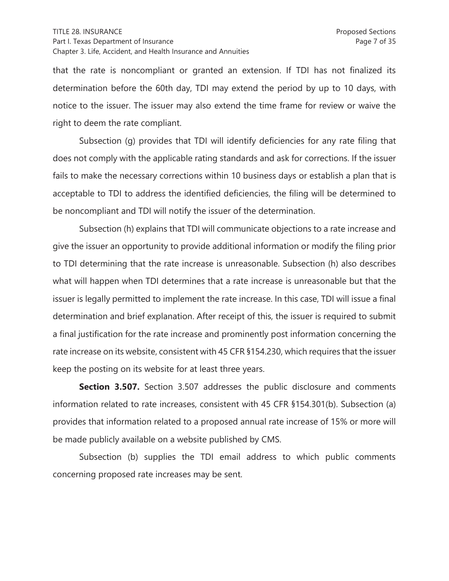that the rate is noncompliant or granted an extension. If TDI has not finalized its determination before the 60th day, TDI may extend the period by up to 10 days, with notice to the issuer. The issuer may also extend the time frame for review or waive the right to deem the rate compliant.

 Subsection (g) provides that TDI will identify deficiencies for any rate filing that does not comply with the applicable rating standards and ask for corrections. If the issuer fails to make the necessary corrections within 10 business days or establish a plan that is acceptable to TDI to address the identified deficiencies, the filing will be determined to be noncompliant and TDI will notify the issuer of the determination.

 Subsection (h) explains that TDI will communicate objections to a rate increase and give the issuer an opportunity to provide additional information or modify the filing prior to TDI determining that the rate increase is unreasonable. Subsection (h) also describes what will happen when TDI determines that a rate increase is unreasonable but that the issuer is legally permitted to implement the rate increase. In this case, TDI will issue a final determination and brief explanation. After receipt of this, the issuer is required to submit a final justification for the rate increase and prominently post information concerning the rate increase on its website, consistent with 45 CFR §154.230, which requires that the issuer keep the posting on its website for at least three years.

**Section 3.507.** Section 3.507 addresses the public disclosure and comments information related to rate increases, consistent with 45 CFR §154.301(b). Subsection (a) provides that information related to a proposed annual rate increase of 15% or more will be made publicly available on a website published by CMS.

 Subsection (b) supplies the TDI email address to which public comments concerning proposed rate increases may be sent.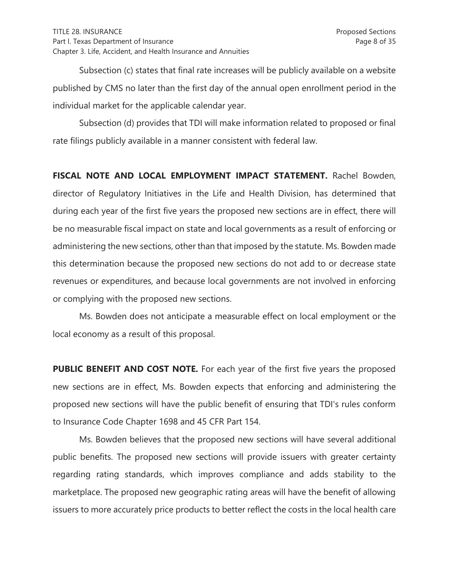Subsection (c) states that final rate increases will be publicly available on a website published by CMS no later than the first day of the annual open enrollment period in the individual market for the applicable calendar year.

 Subsection (d) provides that TDI will make information related to proposed or final rate filings publicly available in a manner consistent with federal law.

**FISCAL NOTE AND LOCAL EMPLOYMENT IMPACT STATEMENT.** Rachel Bowden, director of Regulatory Initiatives in the Life and Health Division, has determined that during each year of the first five years the proposed new sections are in effect, there will be no measurable fiscal impact on state and local governments as a result of enforcing or administering the new sections, other than that imposed by the statute. Ms. Bowden made this determination because the proposed new sections do not add to or decrease state revenues or expenditures, and because local governments are not involved in enforcing or complying with the proposed new sections.

 Ms. Bowden does not anticipate a measurable effect on local employment or the local economy as a result of this proposal.

**PUBLIC BENEFIT AND COST NOTE.** For each year of the first five years the proposed new sections are in effect, Ms. Bowden expects that enforcing and administering the proposed new sections will have the public benefit of ensuring that TDI's rules conform to Insurance Code Chapter 1698 and 45 CFR Part 154.

 Ms. Bowden believes that the proposed new sections will have several additional public benefits. The proposed new sections will provide issuers with greater certainty regarding rating standards, which improves compliance and adds stability to the marketplace. The proposed new geographic rating areas will have the benefit of allowing issuers to more accurately price products to better reflect the costs in the local health care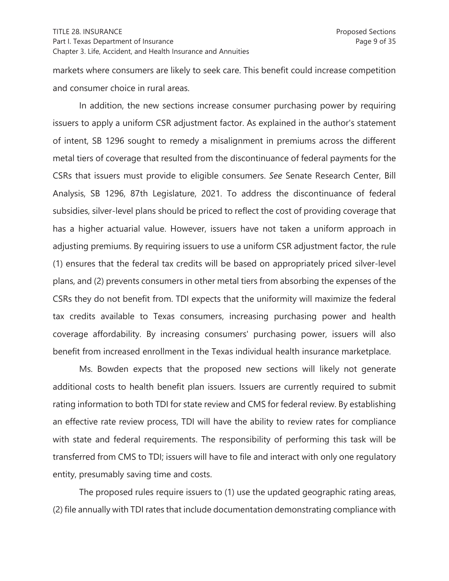markets where consumers are likely to seek care. This benefit could increase competition and consumer choice in rural areas.

 In addition, the new sections increase consumer purchasing power by requiring issuers to apply a uniform CSR adjustment factor. As explained in the author's statement of intent, SB 1296 sought to remedy a misalignment in premiums across the different metal tiers of coverage that resulted from the discontinuance of federal payments for the CSRs that issuers must provide to eligible consumers. *See* Senate Research Center, Bill Analysis, SB 1296, 87th Legislature, 2021. To address the discontinuance of federal subsidies, silver-level plans should be priced to reflect the cost of providing coverage that has a higher actuarial value. However, issuers have not taken a uniform approach in adjusting premiums. By requiring issuers to use a uniform CSR adjustment factor, the rule (1) ensures that the federal tax credits will be based on appropriately priced silver-level plans, and (2) prevents consumers in other metal tiers from absorbing the expenses of the CSRs they do not benefit from. TDI expects that the uniformity will maximize the federal tax credits available to Texas consumers, increasing purchasing power and health coverage affordability. By increasing consumers' purchasing power, issuers will also benefit from increased enrollment in the Texas individual health insurance marketplace.

 Ms. Bowden expects that the proposed new sections will likely not generate additional costs to health benefit plan issuers. Issuers are currently required to submit rating information to both TDI for state review and CMS for federal review. By establishing an effective rate review process, TDI will have the ability to review rates for compliance with state and federal requirements. The responsibility of performing this task will be transferred from CMS to TDI; issuers will have to file and interact with only one regulatory entity, presumably saving time and costs.

 The proposed rules require issuers to (1) use the updated geographic rating areas, (2) file annually with TDI rates that include documentation demonstrating compliance with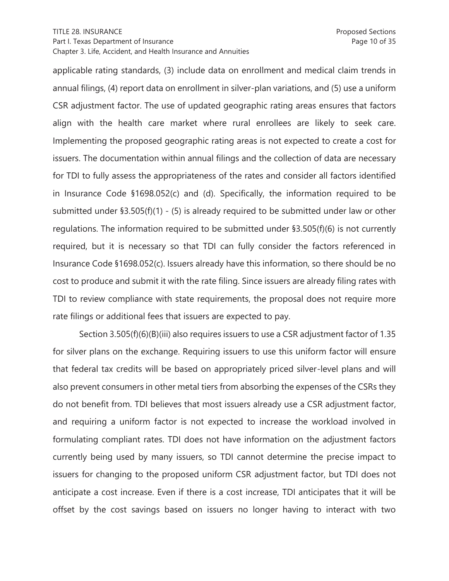applicable rating standards, (3) include data on enrollment and medical claim trends in annual filings, (4) report data on enrollment in silver-plan variations, and (5) use a uniform CSR adjustment factor. The use of updated geographic rating areas ensures that factors align with the health care market where rural enrollees are likely to seek care. Implementing the proposed geographic rating areas is not expected to create a cost for issuers. The documentation within annual filings and the collection of data are necessary for TDI to fully assess the appropriateness of the rates and consider all factors identified in Insurance Code §1698.052(c) and (d). Specifically, the information required to be submitted under §3.505(f)(1) - (5) is already required to be submitted under law or other regulations. The information required to be submitted under §3.505(f)(6) is not currently required, but it is necessary so that TDI can fully consider the factors referenced in Insurance Code §1698.052(c). Issuers already have this information, so there should be no cost to produce and submit it with the rate filing. Since issuers are already filing rates with TDI to review compliance with state requirements, the proposal does not require more rate filings or additional fees that issuers are expected to pay.

 Section 3.505(f)(6)(B)(iii) also requires issuers to use a CSR adjustment factor of 1.35 for silver plans on the exchange. Requiring issuers to use this uniform factor will ensure that federal tax credits will be based on appropriately priced silver-level plans and will also prevent consumers in other metal tiers from absorbing the expenses of the CSRs they do not benefit from. TDI believes that most issuers already use a CSR adjustment factor, and requiring a uniform factor is not expected to increase the workload involved in formulating compliant rates. TDI does not have information on the adjustment factors currently being used by many issuers, so TDI cannot determine the precise impact to issuers for changing to the proposed uniform CSR adjustment factor, but TDI does not anticipate a cost increase. Even if there is a cost increase, TDI anticipates that it will be offset by the cost savings based on issuers no longer having to interact with two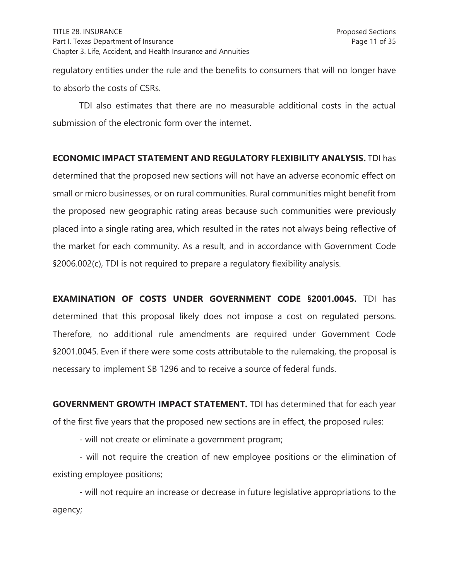regulatory entities under the rule and the benefits to consumers that will no longer have to absorb the costs of CSRs.

TDI also estimates that there are no measurable additional costs in the actual submission of the electronic form over the internet.

### **ECONOMIC IMPACT STATEMENT AND REGULATORY FLEXIBILITY ANALYSIS.** TDI has

determined that the proposed new sections will not have an adverse economic effect on small or micro businesses, or on rural communities. Rural communities might benefit from the proposed new geographic rating areas because such communities were previously placed into a single rating area, which resulted in the rates not always being reflective of the market for each community. As a result, and in accordance with Government Code §2006.002(c), TDI is not required to prepare a regulatory flexibility analysis.

**EXAMINATION OF COSTS UNDER GOVERNMENT CODE §2001.0045.** TDI has determined that this proposal likely does not impose a cost on regulated persons. Therefore, no additional rule amendments are required under Government Code §2001.0045. Even if there were some costs attributable to the rulemaking, the proposal is necessary to implement SB 1296 and to receive a source of federal funds.

**GOVERNMENT GROWTH IMPACT STATEMENT.** TDI has determined that for each year of the first five years that the proposed new sections are in effect, the proposed rules:

- will not create or eliminate a government program;

- will not require the creation of new employee positions or the elimination of existing employee positions;

- will not require an increase or decrease in future legislative appropriations to the agency;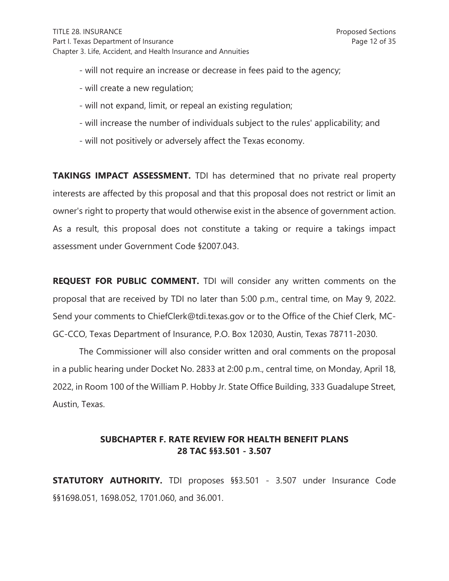- will not require an increase or decrease in fees paid to the agency;
- will create a new regulation;
- will not expand, limit, or repeal an existing regulation;
- will increase the number of individuals subject to the rules' applicability; and
- will not positively or adversely affect the Texas economy.

**TAKINGS IMPACT ASSESSMENT.** TDI has determined that no private real property interests are affected by this proposal and that this proposal does not restrict or limit an owner's right to property that would otherwise exist in the absence of government action. As a result, this proposal does not constitute a taking or require a takings impact assessment under Government Code §2007.043.

**REQUEST FOR PUBLIC COMMENT.** TDI will consider any written comments on the proposal that are received by TDI no later than 5:00 p.m., central time, on May 9, 2022. Send your comments to ChiefClerk@tdi.texas.gov or to the Office of the Chief Clerk, MC-GC-CCO, Texas Department of Insurance, P.O. Box 12030, Austin, Texas 78711-2030.

The Commissioner will also consider written and oral comments on the proposal in a public hearing under Docket No. 2833 at 2:00 p.m., central time, on Monday, April 18, 2022, in Room 100 of the William P. Hobby Jr. State Office Building, 333 Guadalupe Street, Austin, Texas.

# **SUBCHAPTER F. RATE REVIEW FOR HEALTH BENEFIT PLANS 28 TAC §§3.501 - 3.507**

**STATUTORY AUTHORITY.** TDI proposes §§3.501 - 3.507 under Insurance Code §§1698.051, 1698.052, 1701.060, and 36.001.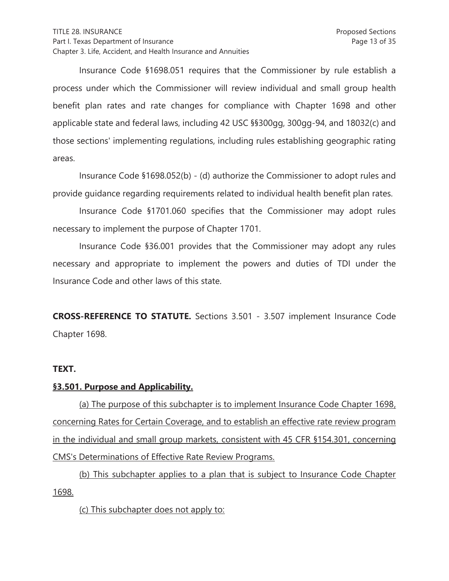Insurance Code §1698.051 requires that the Commissioner by rule establish a process under which the Commissioner will review individual and small group health benefit plan rates and rate changes for compliance with Chapter 1698 and other applicable state and federal laws, including 42 USC §§300gg, 300gg-94, and 18032(c) and those sections' implementing regulations, including rules establishing geographic rating areas.

 Insurance Code §1698.052(b) - (d) authorize the Commissioner to adopt rules and provide guidance regarding requirements related to individual health benefit plan rates.

Insurance Code §1701.060 specifies that the Commissioner may adopt rules necessary to implement the purpose of Chapter 1701.

 Insurance Code §36.001 provides that the Commissioner may adopt any rules necessary and appropriate to implement the powers and duties of TDI under the Insurance Code and other laws of this state.

**CROSS-REFERENCE TO STATUTE.** Sections 3.501 - 3.507 implement Insurance Code Chapter 1698.

### **TEXT.**

### **§3.501. Purpose and Applicability.**

(a) The purpose of this subchapter is to implement Insurance Code Chapter 1698, concerning Rates for Certain Coverage, and to establish an effective rate review program in the individual and small group markets, consistent with 45 CFR §154.301, concerning CMS's Determinations of Effective Rate Review Programs.

(b) This subchapter applies to a plan that is subject to Insurance Code Chapter 1698.

(c) This subchapter does not apply to: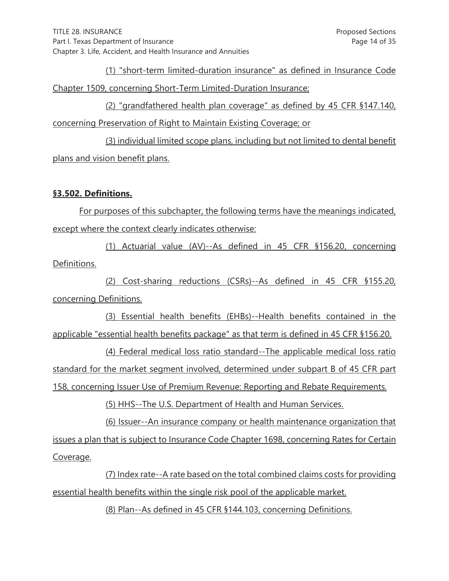(1) "short-term limited-duration insurance" as defined in Insurance Code Chapter 1509, concerning Short-Term Limited-Duration Insurance;

(2) "grandfathered health plan coverage" as defined by 45 CFR §147.140, concerning Preservation of Right to Maintain Existing Coverage; or

(3) individual limited scope plans, including but not limited to dental benefit plans and vision benefit plans.

## **§3.502. Definitions.**

For purposes of this subchapter, the following terms have the meanings indicated, except where the context clearly indicates otherwise:

(1) Actuarial value (AV)--As defined in 45 CFR §156.20, concerning Definitions.

(2) Cost-sharing reductions (CSRs)--As defined in 45 CFR §155.20, concerning Definitions.

(3) Essential health benefits (EHBs)--Health benefits contained in the applicable "essential health benefits package" as that term is defined in 45 CFR §156.20.

(4) Federal medical loss ratio standard--The applicable medical loss ratio standard for the market segment involved, determined under subpart B of 45 CFR part 158, concerning Issuer Use of Premium Revenue: Reporting and Rebate Requirements.

(5) HHS--The U.S. Department of Health and Human Services.

(6) Issuer--An insurance company or health maintenance organization that issues a plan that is subject to Insurance Code Chapter 1698, concerning Rates for Certain Coverage.

(7) Index rate--A rate based on the total combined claims costs for providing essential health benefits within the single risk pool of the applicable market.

(8) Plan--As defined in 45 CFR §144.103, concerning Definitions.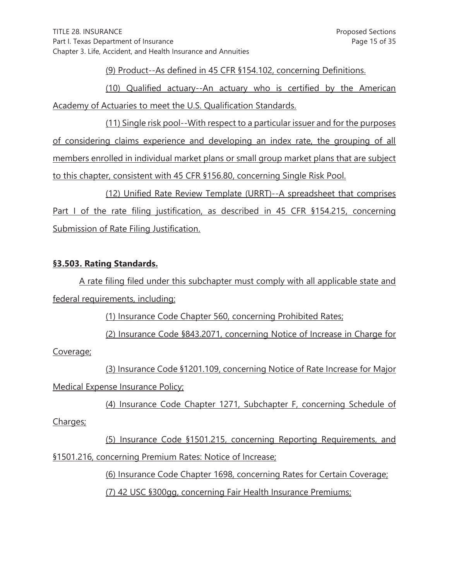(9) Product--As defined in 45 CFR §154.102, concerning Definitions.

(10) Qualified actuary--An actuary who is certified by the American Academy of Actuaries to meet the U.S. Qualification Standards.

(11) Single risk pool--With respect to a particular issuer and for the purposes of considering claims experience and developing an index rate, the grouping of all members enrolled in individual market plans or small group market plans that are subject to this chapter, consistent with 45 CFR §156.80, concerning Single Risk Pool.

(12) Unified Rate Review Template (URRT)--A spreadsheet that comprises Part I of the rate filing justification, as described in 45 CFR §154.215, concerning Submission of Rate Filing Justification.

## **§3.503. Rating Standards.**

A rate filing filed under this subchapter must comply with all applicable state and federal requirements, including:

(1) Insurance Code Chapter 560, concerning Prohibited Rates;

(2) Insurance Code §843.2071, concerning Notice of Increase in Charge for

Coverage;

(3) Insurance Code §1201.109, concerning Notice of Rate Increase for Major Medical Expense Insurance Policy;

(4) Insurance Code Chapter 1271, Subchapter F, concerning Schedule of

Charges;

(5) Insurance Code §1501.215, concerning Reporting Requirements, and §1501.216, concerning Premium Rates: Notice of Increase;

(6) Insurance Code Chapter 1698, concerning Rates for Certain Coverage;

(7) 42 USC §300gg, concerning Fair Health Insurance Premiums;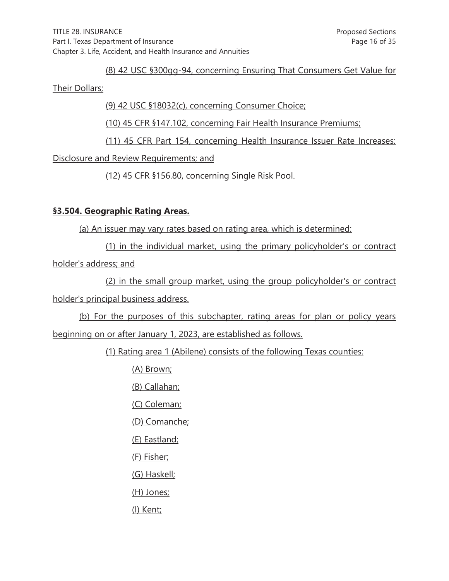### (8) 42 USC §300gg-94, concerning Ensuring That Consumers Get Value for

#### Their Dollars;

(9) 42 USC §18032(c), concerning Consumer Choice;

(10) 45 CFR §147.102, concerning Fair Health Insurance Premiums;

(11) 45 CFR Part 154, concerning Health Insurance Issuer Rate Increases:

Disclosure and Review Requirements; and

(12) 45 CFR §156.80, concerning Single Risk Pool.

# **§3.504. Geographic Rating Areas.**

(a) An issuer may vary rates based on rating area, which is determined:

(1) in the individual market, using the primary policyholder's or contract holder's address; and

(2) in the small group market, using the group policyholder's or contract holder's principal business address.

(b) For the purposes of this subchapter, rating areas for plan or policy years beginning on or after January 1, 2023, are established as follows.

(1) Rating area 1 (Abilene) consists of the following Texas counties:

(A) Brown;

(B) Callahan;

(C) Coleman;

(D) Comanche;

(E) Eastland;

(F) Fisher;

(G) Haskell;

(H) Jones;

(I) Kent;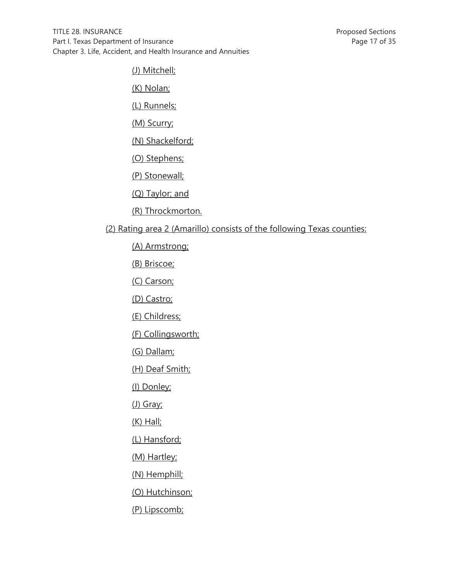(J) Mitchell;

(K) Nolan;

(L) Runnels;

(M) Scurry;

(N) Shackelford;

(O) Stephens;

(P) Stonewall;

(Q) Taylor; and

(R) Throckmorton.

(2) Rating area 2 (Amarillo) consists of the following Texas counties:

(A) Armstrong;

(B) Briscoe;

(C) Carson;

(D) Castro;

(E) Childress;

(F) Collingsworth;

(G) Dallam;

(H) Deaf Smith;

(I) Donley;

(J) Gray;

(K) Hall;

(L) Hansford;

(M) Hartley;

(N) Hemphill;

(O) Hutchinson;

(P) Lipscomb;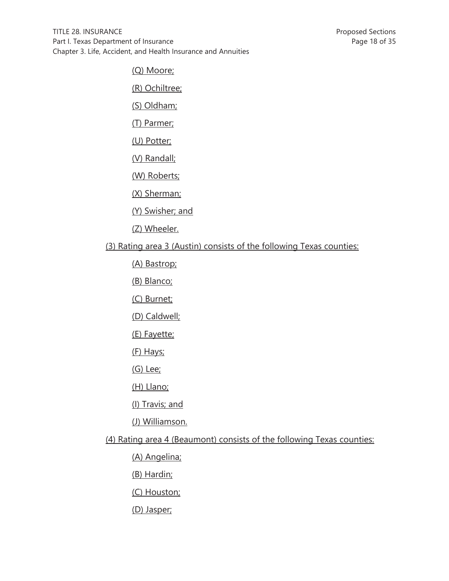(Q) Moore;

(R) Ochiltree;

(S) Oldham;

(T) Parmer;

(U) Potter;

(V) Randall;

(W) Roberts;

(X) Sherman;

(Y) Swisher; and

(Z) Wheeler.

# (3) Rating area 3 (Austin) consists of the following Texas counties:

(A) Bastrop;

(B) Blanco;

(C) Burnet;

(D) Caldwell;

(E) Fayette;

(F) Hays;

(G) Lee;

(H) Llano;

(I) Travis; and

(J) Williamson.

(4) Rating area 4 (Beaumont) consists of the following Texas counties:

(A) Angelina;

(B) Hardin;

(C) Houston;

(D) Jasper;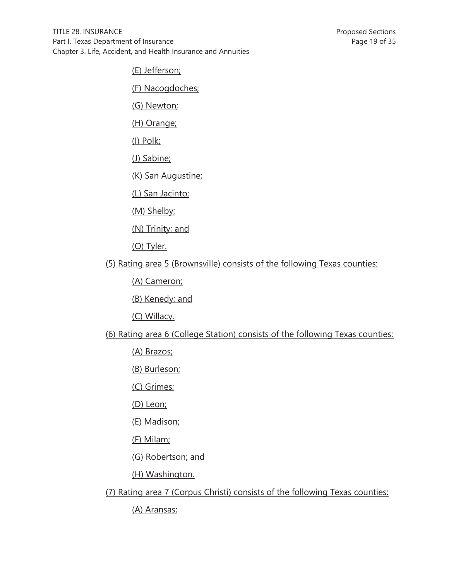(E) Jefferson;

(F) Nacogdoches;

(G) Newton;

(H) Orange;

(I) Polk;

(J) Sabine;

(K) San Augustine;

(L) San Jacinto;

(M) Shelby;

(N) Trinity; and

(O) Tyler.

(5) Rating area 5 (Brownsville) consists of the following Texas counties:

(A) Cameron;

(B) Kenedy; and

(C) Willacy.

(6) Rating area 6 (College Station) consists of the following Texas counties:

(A) Brazos;

(B) Burleson;

(C) Grimes;

(D) Leon;

(E) Madison;

(F) Milam;

(G) Robertson; and

(H) Washington.

(7) Rating area 7 (Corpus Christi) consists of the following Texas counties:

(A) Aransas;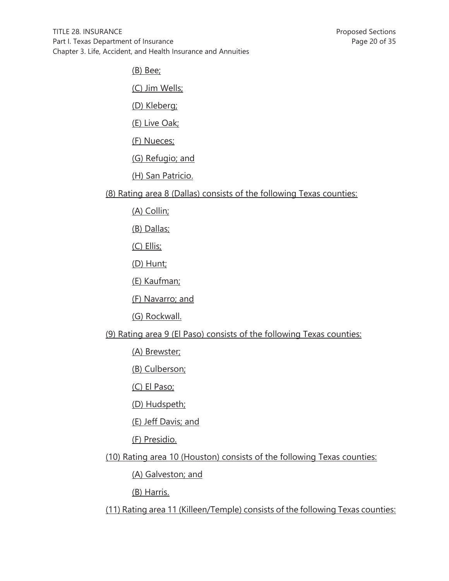(B) Bee;

(C) Jim Wells;

(D) Kleberg;

(E) Live Oak;

(F) Nueces;

(G) Refugio; and

(H) San Patricio.

(8) Rating area 8 (Dallas) consists of the following Texas counties:

(A) Collin;

(B) Dallas;

(C) Ellis;

(D) Hunt;

(E) Kaufman;

(F) Navarro; and

(G) Rockwall.

(9) Rating area 9 (El Paso) consists of the following Texas counties:

(A) Brewster;

(B) Culberson;

(C) El Paso;

(D) Hudspeth;

(E) Jeff Davis; and

(F) Presidio.

(10) Rating area 10 (Houston) consists of the following Texas counties:

(A) Galveston; and

(B) Harris.

(11) Rating area 11 (Killeen/Temple) consists of the following Texas counties: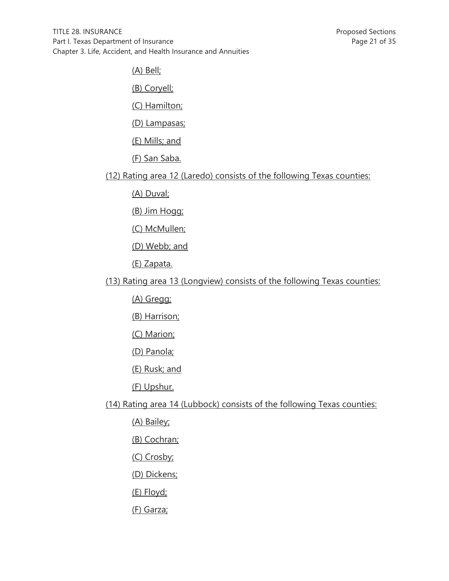(A) Bell;

(B) Coryell;

(C) Hamilton;

(D) Lampasas;

(E) Mills; and

(F) San Saba.

(12) Rating area 12 (Laredo) consists of the following Texas counties:

(A) Duval;

(B) Jim Hogg;

(C) McMullen;

(D) Webb; and

(E) Zapata.

(13) Rating area 13 (Longview) consists of the following Texas counties:

(A) Gregg;

(B) Harrison;

(C) Marion;

(D) Panola;

(E) Rusk; and

(F) Upshur.

(14) Rating area 14 (Lubbock) consists of the following Texas counties:

(A) Bailey;

(B) Cochran;

(C) Crosby;

(D) Dickens;

(E) Floyd;

(F) Garza;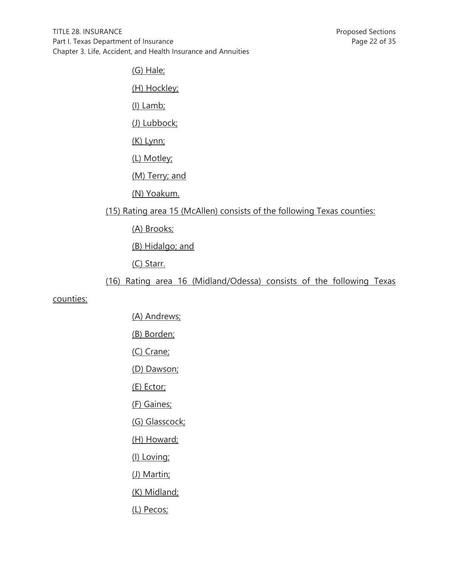(G) Hale;

(H) Hockley;

(I) Lamb;

(J) Lubbock;

(K) Lynn;

(L) Motley;

(M) Terry; and

(N) Yoakum.

# (15) Rating area 15 (McAllen) consists of the following Texas counties:

(A) Brooks;

(B) Hidalgo; and

(C) Starr.

# (16) Rating area 16 (Midland/Odessa) consists of the following Texas

### counties:

- (A) Andrews;
- (B) Borden;
- (C) Crane;
- (D) Dawson;
- (E) Ector;
- (F) Gaines;
- (G) Glasscock;
- (H) Howard;
- (I) Loving;
- (J) Martin;
- (K) Midland;
- (L) Pecos;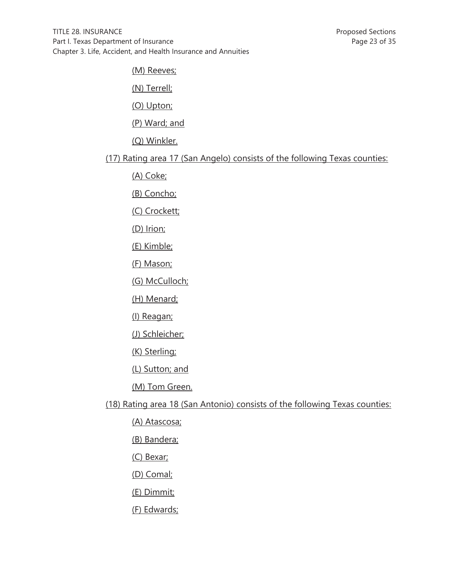(M) Reeves;

(N) Terrell;

(O) Upton;

(P) Ward; and

(Q) Winkler.

(17) Rating area 17 (San Angelo) consists of the following Texas counties:

(A) Coke;

(B) Concho;

(C) Crockett;

(D) Irion;

(E) Kimble;

(F) Mason;

(G) McCulloch;

(H) Menard;

(I) Reagan;

(J) Schleicher;

(K) Sterling;

(L) Sutton; and

(M) Tom Green.

(18) Rating area 18 (San Antonio) consists of the following Texas counties:

(A) Atascosa;

(B) Bandera;

(C) Bexar;

(D) Comal;

(E) Dimmit;

(F) Edwards;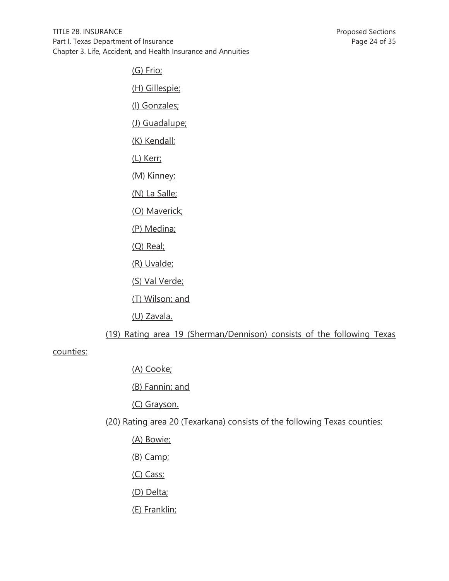(G) Frio;

(H) Gillespie;

(I) Gonzales;

(J) Guadalupe;

(K) Kendall;

(L) Kerr;

(M) Kinney;

(N) La Salle;

(O) Maverick;

(P) Medina;

(Q) Real;

(R) Uvalde;

(S) Val Verde;

(T) Wilson; and

(U) Zavala.

(19) Rating area 19 (Sherman/Dennison) consists of the following Texas

counties:

(A) Cooke;

(B) Fannin; and

(C) Grayson.

(20) Rating area 20 (Texarkana) consists of the following Texas counties:

(A) Bowie;

- (B) Camp;
- (C) Cass;
- (D) Delta;
- (E) Franklin;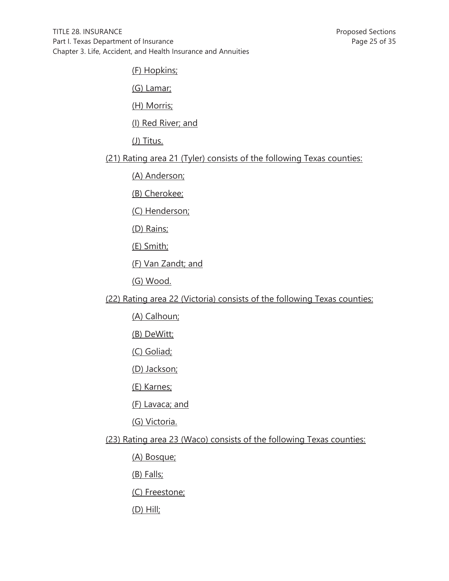(F) Hopkins;

(G) Lamar;

(H) Morris;

(I) Red River; and

(J) Titus.

(21) Rating area 21 (Tyler) consists of the following Texas counties:

(A) Anderson;

(B) Cherokee;

(C) Henderson;

(D) Rains;

(E) Smith;

(F) Van Zandt; and

(G) Wood.

(22) Rating area 22 (Victoria) consists of the following Texas counties:

(A) Calhoun;

(B) DeWitt;

(C) Goliad;

(D) Jackson;

(E) Karnes;

(F) Lavaca; and

(G) Victoria.

(23) Rating area 23 (Waco) consists of the following Texas counties:

(A) Bosque;

(B) Falls;

(C) Freestone;

(D) Hill;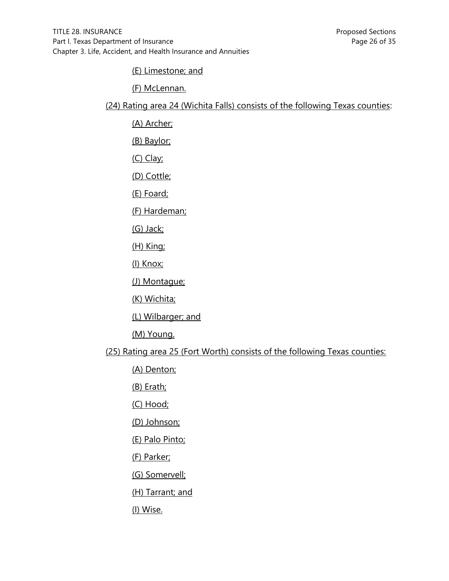(E) Limestone; and

(F) McLennan.

(24) Rating area 24 (Wichita Falls) consists of the following Texas counties:

(A) Archer;

(B) Baylor;

(C) Clay;

(D) Cottle;

(E) Foard;

(F) Hardeman;

(G) Jack;

(H) King;

(I) Knox;

(J) Montague;

(K) Wichita;

(L) Wilbarger; and

(M) Young.

(25) Rating area 25 (Fort Worth) consists of the following Texas counties:

(A) Denton;

(B) Erath;

(C) Hood;

(D) Johnson;

(E) Palo Pinto;

(F) Parker;

(G) Somervell;

(H) Tarrant; and

(I) Wise.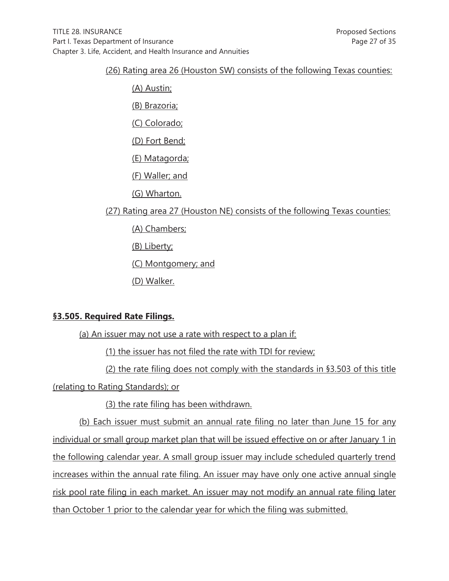### (26) Rating area 26 (Houston SW) consists of the following Texas counties:

(A) Austin; (B) Brazoria; (C) Colorado; (D) Fort Bend; (E) Matagorda; (F) Waller; and (G) Wharton. (27) Rating area 27 (Houston NE) consists of the following Texas counties: (A) Chambers; (B) Liberty; (C) Montgomery; and

(D) Walker.

## **§3.505. Required Rate Filings.**

(a) An issuer may not use a rate with respect to a plan if:

(1) the issuer has not filed the rate with TDI for review;

(2) the rate filing does not comply with the standards in §3.503 of this title (relating to Rating Standards); or

(3) the rate filing has been withdrawn.

(b) Each issuer must submit an annual rate filing no later than June 15 for any individual or small group market plan that will be issued effective on or after January 1 in the following calendar year. A small group issuer may include scheduled quarterly trend increases within the annual rate filing. An issuer may have only one active annual single risk pool rate filing in each market. An issuer may not modify an annual rate filing later than October 1 prior to the calendar year for which the filing was submitted.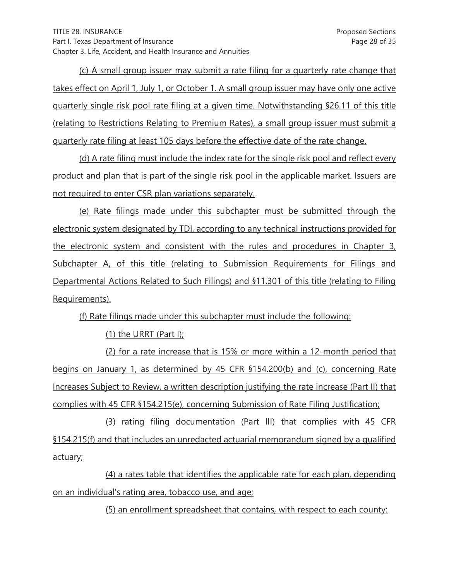(c) A small group issuer may submit a rate filing for a quarterly rate change that takes effect on April 1, July 1, or October 1. A small group issuer may have only one active quarterly single risk pool rate filing at a given time. Notwithstanding §26.11 of this title (relating to Restrictions Relating to Premium Rates), a small group issuer must submit a quarterly rate filing at least 105 days before the effective date of the rate change.

 (d) A rate filing must include the index rate for the single risk pool and reflect every product and plan that is part of the single risk pool in the applicable market. Issuers are not required to enter CSR plan variations separately.

 (e) Rate filings made under this subchapter must be submitted through the electronic system designated by TDI, according to any technical instructions provided for the electronic system and consistent with the rules and procedures in Chapter 3, Subchapter A, of this title (relating to Submission Requirements for Filings and Departmental Actions Related to Such Filings) and §11.301 of this title (relating to Filing Requirements).

(f) Rate filings made under this subchapter must include the following:

(1) the URRT (Part I);

 (2) for a rate increase that is 15% or more within a 12-month period that begins on January 1, as determined by 45 CFR §154.200(b) and (c), concerning Rate Increases Subject to Review, a written description justifying the rate increase (Part II) that complies with 45 CFR §154.215(e), concerning Submission of Rate Filing Justification;

 (3) rating filing documentation (Part III) that complies with 45 CFR §154.215(f) and that includes an unredacted actuarial memorandum signed by a qualified actuary;

 (4) a rates table that identifies the applicable rate for each plan, depending on an individual's rating area, tobacco use, and age;

(5) an enrollment spreadsheet that contains, with respect to each county: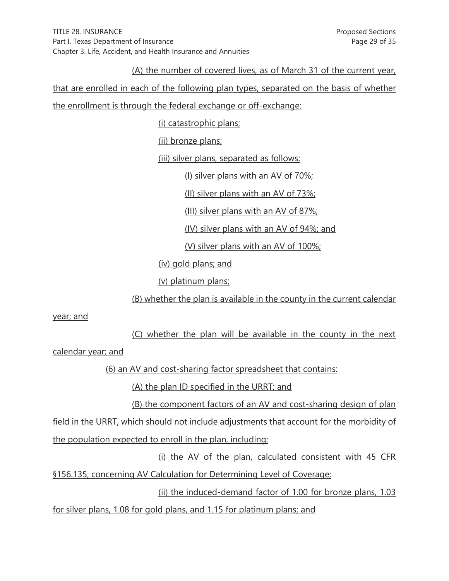(A) the number of covered lives, as of March 31 of the current year,

that are enrolled in each of the following plan types, separated on the basis of whether the enrollment is through the federal exchange or off-exchange:

(i) catastrophic plans;

(ii) bronze plans;

(iii) silver plans, separated as follows:

(I) silver plans with an AV of 70%;

(II) silver plans with an AV of 73%;

(III) silver plans with an AV of 87%;

(IV) silver plans with an AV of 94%; and

(V) silver plans with an AV of 100%;

(iv) gold plans; and

(v) platinum plans;

(B) whether the plan is available in the county in the current calendar

year; and

(C) whether the plan will be available in the county in the next

calendar year; and

(6) an AV and cost-sharing factor spreadsheet that contains:

(A) the plan ID specified in the URRT; and

(B) the component factors of an AV and cost-sharing design of plan

field in the URRT, which should not include adjustments that account for the morbidity of the population expected to enroll in the plan, including:

 (i) the AV of the plan, calculated consistent with 45 CFR §156.135, concerning AV Calculation for Determining Level of Coverage;

(ii) the induced-demand factor of 1.00 for bronze plans, 1.03

for silver plans, 1.08 for gold plans, and 1.15 for platinum plans; and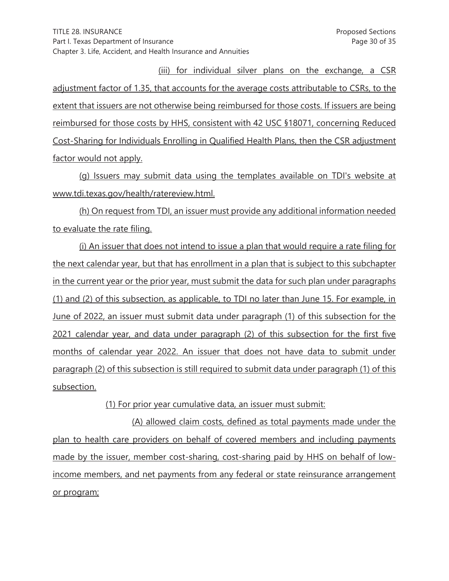(iii) for individual silver plans on the exchange, a CSR adjustment factor of 1.35, that accounts for the average costs attributable to CSRs, to the extent that issuers are not otherwise being reimbursed for those costs. If issuers are being reimbursed for those costs by HHS, consistent with 42 USC §18071, concerning Reduced Cost-Sharing for Individuals Enrolling in Qualified Health Plans, then the CSR adjustment factor would not apply.

 (g) Issuers may submit data using the templates available on TDI's website at www.tdi.texas.gov/health/ratereview.html.

 (h) On request from TDI, an issuer must provide any additional information needed to evaluate the rate filing.

 (i) An issuer that does not intend to issue a plan that would require a rate filing for the next calendar year, but that has enrollment in a plan that is subject to this subchapter in the current year or the prior year, must submit the data for such plan under paragraphs (1) and (2) of this subsection, as applicable, to TDI no later than June 15. For example, in June of 2022, an issuer must submit data under paragraph (1) of this subsection for the 2021 calendar year, and data under paragraph (2) of this subsection for the first five months of calendar year 2022. An issuer that does not have data to submit under paragraph (2) of this subsection is still required to submit data under paragraph (1) of this subsection.

(1) For prior year cumulative data, an issuer must submit:

 (A) allowed claim costs, defined as total payments made under the plan to health care providers on behalf of covered members and including payments made by the issuer, member cost-sharing, cost-sharing paid by HHS on behalf of lowincome members, and net payments from any federal or state reinsurance arrangement or program;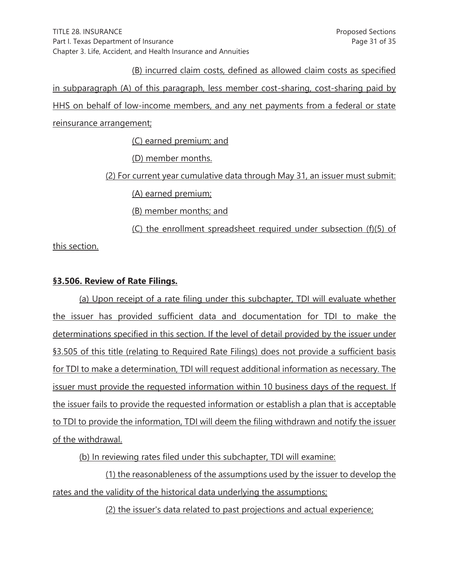(B) incurred claim costs, defined as allowed claim costs as specified in subparagraph (A) of this paragraph, less member cost-sharing, cost-sharing paid by HHS on behalf of low-income members, and any net payments from a federal or state reinsurance arrangement; (C) earned premium; and (D) member months.

(2) For current year cumulative data through May 31, an issuer must submit:

(A) earned premium;

(B) member months; and

(C) the enrollment spreadsheet required under subsection (f)(5) of

this section.

## **§3.506. Review of Rate Filings.**

 (a) Upon receipt of a rate filing under this subchapter, TDI will evaluate whether the issuer has provided sufficient data and documentation for TDI to make the determinations specified in this section. If the level of detail provided by the issuer under §3.505 of this title (relating to Required Rate Filings) does not provide a sufficient basis for TDI to make a determination, TDI will request additional information as necessary. The issuer must provide the requested information within 10 business days of the request. If the issuer fails to provide the requested information or establish a plan that is acceptable to TDI to provide the information, TDI will deem the filing withdrawn and notify the issuer of the withdrawal.

(b) In reviewing rates filed under this subchapter, TDI will examine:

 (1) the reasonableness of the assumptions used by the issuer to develop the rates and the validity of the historical data underlying the assumptions;

(2) the issuer's data related to past projections and actual experience;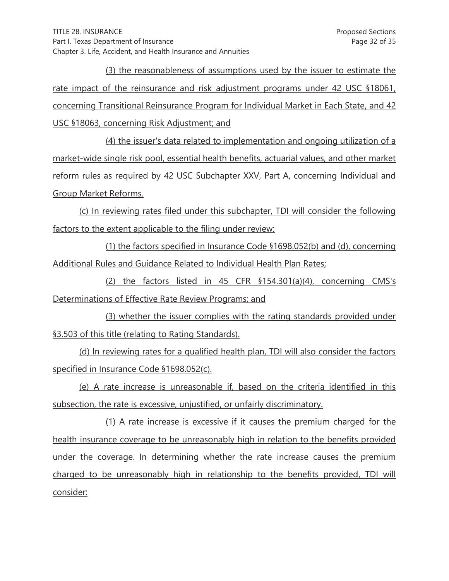(3) the reasonableness of assumptions used by the issuer to estimate the rate impact of the reinsurance and risk adjustment programs under 42 USC §18061, concerning Transitional Reinsurance Program for Individual Market in Each State, and 42 USC §18063, concerning Risk Adjustment; and

 (4) the issuer's data related to implementation and ongoing utilization of a market-wide single risk pool, essential health benefits, actuarial values, and other market reform rules as required by 42 USC Subchapter XXV, Part A, concerning Individual and Group Market Reforms.

 (c) In reviewing rates filed under this subchapter, TDI will consider the following factors to the extent applicable to the filing under review:

 (1) the factors specified in Insurance Code §1698.052(b) and (d), concerning Additional Rules and Guidance Related to Individual Health Plan Rates;

 (2) the factors listed in 45 CFR §154.301(a)(4), concerning CMS's Determinations of Effective Rate Review Programs; and

 (3) whether the issuer complies with the rating standards provided under §3.503 of this title (relating to Rating Standards).

 (d) In reviewing rates for a qualified health plan, TDI will also consider the factors specified in Insurance Code §1698.052(c).

 (e) A rate increase is unreasonable if, based on the criteria identified in this subsection, the rate is excessive, unjustified, or unfairly discriminatory.

 (1) A rate increase is excessive if it causes the premium charged for the health insurance coverage to be unreasonably high in relation to the benefits provided under the coverage. In determining whether the rate increase causes the premium charged to be unreasonably high in relationship to the benefits provided, TDI will consider: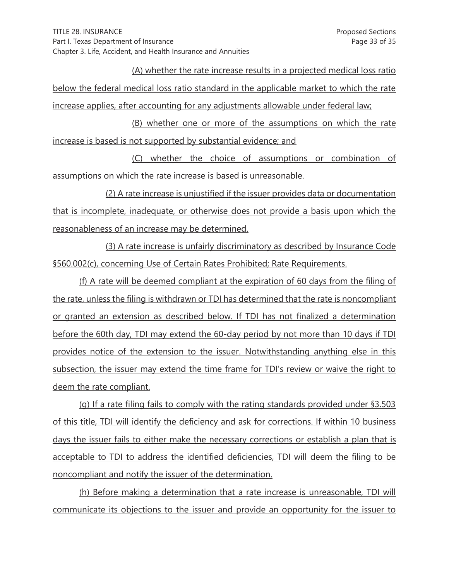(A) whether the rate increase results in a projected medical loss ratio below the federal medical loss ratio standard in the applicable market to which the rate increase applies, after accounting for any adjustments allowable under federal law;

(B) whether one or more of the assumptions on which the rate increase is based is not supported by substantial evidence; and

(C) whether the choice of assumptions or combination of assumptions on which the rate increase is based is unreasonable.

(2) A rate increase is unjustified if the issuer provides data or documentation that is incomplete, inadequate, or otherwise does not provide a basis upon which the reasonableness of an increase may be determined.

(3) A rate increase is unfairly discriminatory as described by Insurance Code §560.002(c), concerning Use of Certain Rates Prohibited; Rate Requirements.

(f) A rate will be deemed compliant at the expiration of 60 days from the filing of the rate, unless the filing is withdrawn or TDI has determined that the rate is noncompliant or granted an extension as described below. If TDI has not finalized a determination before the 60th day, TDI may extend the 60-day period by not more than 10 days if TDI provides notice of the extension to the issuer. Notwithstanding anything else in this subsection, the issuer may extend the time frame for TDI's review or waive the right to deem the rate compliant.

(g) If a rate filing fails to comply with the rating standards provided under §3.503 of this title, TDI will identify the deficiency and ask for corrections. If within 10 business days the issuer fails to either make the necessary corrections or establish a plan that is acceptable to TDI to address the identified deficiencies, TDI will deem the filing to be noncompliant and notify the issuer of the determination.

(h) Before making a determination that a rate increase is unreasonable, TDI will communicate its objections to the issuer and provide an opportunity for the issuer to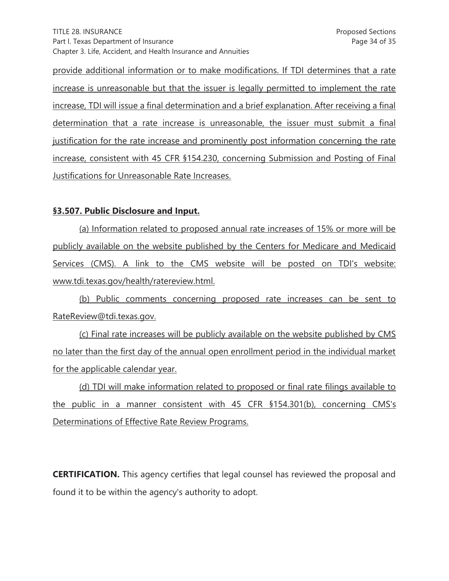provide additional information or to make modifications. If TDI determines that a rate increase is unreasonable but that the issuer is legally permitted to implement the rate increase, TDI will issue a final determination and a brief explanation. After receiving a final determination that a rate increase is unreasonable, the issuer must submit a final justification for the rate increase and prominently post information concerning the rate increase, consistent with 45 CFR §154.230, concerning Submission and Posting of Final Justifications for Unreasonable Rate Increases.

### **§3.507. Public Disclosure and Input.**

(a) Information related to proposed annual rate increases of 15% or more will be publicly available on the website published by the Centers for Medicare and Medicaid Services (CMS). A link to the CMS website will be posted on TDI's website: www.tdi.texas.gov/health/ratereview.html.

(b) Public comments concerning proposed rate increases can be sent to RateReview@tdi.texas.gov.

(c) Final rate increases will be publicly available on the website published by CMS no later than the first day of the annual open enrollment period in the individual market for the applicable calendar year.

(d) TDI will make information related to proposed or final rate filings available to the public in a manner consistent with 45 CFR §154.301(b), concerning CMS's Determinations of Effective Rate Review Programs.

**CERTIFICATION.** This agency certifies that legal counsel has reviewed the proposal and found it to be within the agency's authority to adopt.